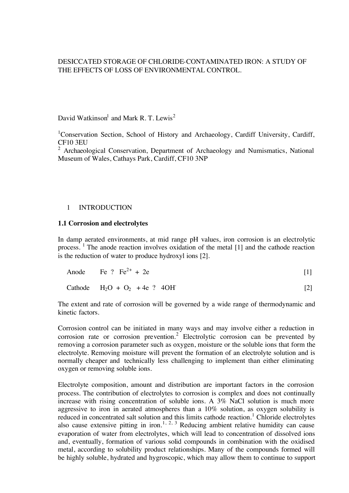# DESICCATED STORAGE OF CHLORIDE-CONTAMINATED IRON: A STUDY OF THE EFFECTS OF LOSS OF ENVIRONMENTAL CONTROL.

David Watkinson $^1$  and Mark R. T. Lewis<sup>2</sup>

<sup>1</sup>Conservation Section, School of History and Archaeology, Cardiff University, Cardiff, CF10 3EU

<sup>2</sup> Archaeological Conservation, Department of Archaeology and Numismatics, National Museum of Wales, Cathays Park, Cardiff, CF10 3NP

### 1 INTRODUCTION

#### **1.1 Corrosion and electrolytes**

In damp aerated environments, at mid range pH values, iron corrosion is an electrolytic process. <sup>1</sup> The anode reaction involves oxidation of the metal  $[1]$  and the cathode reaction is the reduction of water to produce hydroxyl ions [2].

The extent and rate of corrosion will be governed by a wide range of thermodynamic and kinetic factors.

Corrosion control can be initiated in many ways and may involve either a reduction in corrosion rate or corrosion prevention.<sup>2</sup> Electrolytic corrosion can be prevented by removing a corrosion parameter such as oxygen, moisture or the soluble ions that form the electrolyte. Removing moisture will prevent the formation of an electrolyte solution and is normally cheaper and technically less challenging to implement than either eliminating oxygen or removing soluble ions.

Electrolyte composition, amount and distribution are important factors in the corrosion process. The contribution of electrolytes to corrosion is complex and does not continually increase with rising concentration of soluble ions. A 3% NaCl solution is much more aggressive to iron in aerated atmospheres than a 10% solution, as oxygen solubility is reduced in concentrated salt solution and this limits cathode reaction.<sup>1</sup> Chloride electrolytes also cause extensive pitting in iron.<sup>1, 2, 3</sup> Reducing ambient relative humidity can cause evaporation of water from electrolytes, which will lead to concentration of dissolved ions and, eventually, formation of various solid compounds in combination with the oxidised metal, according to solubility product relationships. Many of the compounds formed will be highly soluble, hydrated and hygroscopic, which may allow them to continue to support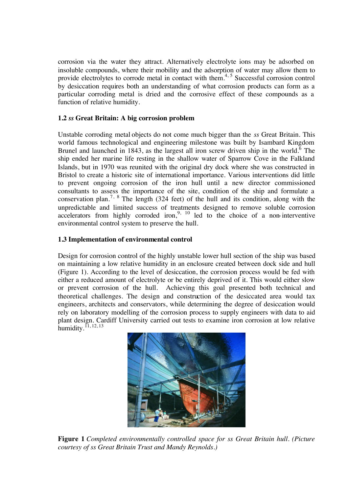corrosion via the water they attract. Alternatively electrolyte ions may be adsorbed on insoluble compounds, where their mobility and the adsorption of water may allow them to provide electrolytes to corrode metal in contact with them.<sup>4, 5</sup> Successful corrosion control by desiccation requires both an understanding of what corrosion products can form as a particular corroding metal is dried and the corrosive effect of these compounds as a function of relative humidity.

## **1.2** *ss* **Great Britain: A big corrosion problem**

Unstable corroding metal objects do not come much bigger than the *ss* Great Britain. This world famous technological and engineering milestone was built by Isambard Kingdom Brunel and launched in 1843, as the largest all iron screw driven ship in the world.<sup>6</sup> The ship ended her marine life resting in the shallow water of Sparrow Cove in the Falkland Islands, but in 1970 was reunited with the original dry dock where she was constructed in Bristol to create a historic site of international importance. Various interventions did little to prevent ongoing corrosion of the iron hull until a new director commissioned consultants to assess the importance of the site, condition of the ship and formulate a conservation plan.<sup>7, 8</sup> The length (324 feet) of the hull and its condition, along with the unpredictable and limited success of treatments designed to remove soluble corrosion accelerators from highly corroded iron,  $9, 10$  led to the choice of a non-interventive environmental control system to preserve the hull.

# **1.3 Implementation of environmental control**

Design for corrosion control of the highly unstable lower hull section of the ship was based on maintaining a low relative humidity in an enclosure created between dock side and hull (Figure 1). According to the level of desiccation, the corrosion process would be fed with either a reduced amount of electrolyte or be entirely deprived of it. This would either slow or prevent corrosion of the hull. Achieving this goal presented both technical and theoretical challenges. The design and construction of the desiccated area would tax engineers, architects and conservators, while determining the degree of desiccation would rely on laboratory modelling of the corrosion process to supply engineers with data to aid plant design. Cardiff University carried out tests to examine iron corrosion at low relative humidity.  $[1, 12, 13]$ 



**Figure 1** *Completed environmentally controlled space for ss Great Britain hull. (Picture courtesy of ss Great Britain Trust and Mandy Reynolds.)*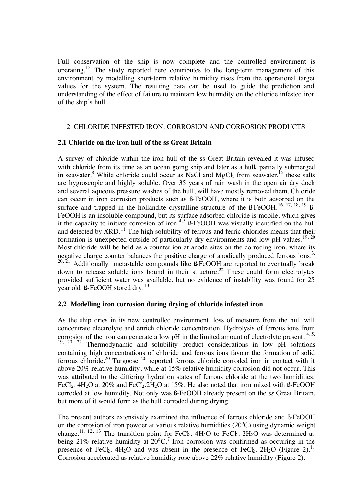Full conservation of the ship is now complete and the controlled environment is operating.<sup>13</sup> The study reported here contributes to the long-term management of this environment by modelling short-term relative humidity rises from the operational target values for the system. The resulting data can be used to guide the prediction and understanding of the effect of failure to maintain low humidity on the chloride infested iron of the ship's hull.

## 2 CHLORIDE INFESTED IRON: CORROSION AND CORROSION PRODUCTS

## **2.1 Chloride on the iron hull of the ss Great Britain**

A survey of chloride within the iron hull of the ss Great Britain revealed it was infused with chloride from its time as an ocean going ship and later as a hulk partially submerged in seawater.<sup>8</sup> While chloride could occur as NaCl and MgC<sub>k</sub> from seawater,<sup>15</sup> these salts are hygroscopic and highly soluble. Over 35 years of rain wash in the open air dry dock and several aqueous pressure washes of the hull, will have mostly removed them. Chloride can occur in iron corrosion products such as ß-FeOOH, where it is both adsorbed on the surface and trapped in the hollandite crystalline structure of the  $\beta$ -FeOOH.<sup>16, 17, 18, 19</sup>  $\beta$ -FeOOH is an insoluble compound, but its surface adsorbed chloride is mobile, which gives it the capacity to initiate corrosion of iron.<sup>4,5</sup>  $\beta$ -FeOOH was visually identified on the hull and detected by  $XRD$ <sup>11</sup>. The high solubility of ferrous and ferric chlorides means that their formation is unexpected outside of particularly dry environments and low pH values.<sup>19, 20</sup> Most chloride will be held as a counter ion at anode sites on the corroding iron, where its negative charge counter balances the positive charge of anodically produced ferrous ions.<sup>3,</sup>  $20.21$  Additionally metastable compounds like  $\beta$ -FeOOH are reported to eventually break down to release soluble ions bound in their structure.<sup>22</sup> These could form electrolytes provided sufficient water was available, but no evidence of instability was found for 25 year old  $\beta$ -FeOOH stored dry.<sup>13</sup>

## **2.2 Modelling iron corrosion during drying of chloride infested iron**

As the ship dries in its new controlled environment, loss of moisture from the hull will concentrate electrolyte and enrich chloride concentration. Hydrolysis of ferrous ions from corrosion of the iron can generate a low pH in the limited amount of electrolyte present.  $4,5$ ,  $19, 20, 22$  Thermodynamic and solubility product considerations in low pH solutions containing high concentrations of chloride and ferrous ions favour the formation of solid ferrous chloride.<sup>20</sup> Turgoose<sup>20</sup> reported ferrous chloride corroded iron in contact with it above 20% relative humidity, while at 15% relative humidity corrosion did not occur. This was attributed to the differing hydration states of ferrous chloride at the two humidities; FeCl<sub>2</sub>. 4H<sub>2</sub>O at 20% and FeCl<sub>2</sub>.2H<sub>2</sub>O at 15%. He also noted that iron mixed with ß-FeOOH corroded at low humidity. Not only was ß-FeOOH already present on the *ss* Great Britain, but more of it would form as the hull corroded during drying.

The present authors extensively examined the influence of ferrous chloride and ß-FeOOH on the corrosion of iron powder at various relative humidities (20°C) using dynamic weight change.<sup>11, 12, 13</sup> The transition point for FeC<sub>k</sub>. 4H<sub>2</sub>O to FeC<sub>k</sub>. 2H<sub>2</sub>O was determined as being 21% relative humidity at  $20^{\circ}$ C.<sup>7</sup> Iron corrosion was confirmed as occurring in the presence of FeCL<sub>2</sub>. 4H<sub>2</sub>O and was absent in the presence of FeCL<sub>2</sub>. 2H<sub>2</sub>O (Figure 2).<sup>11</sup> Corrosion accelerated as relative humidity rose above 22% relative humidity (Figure 2).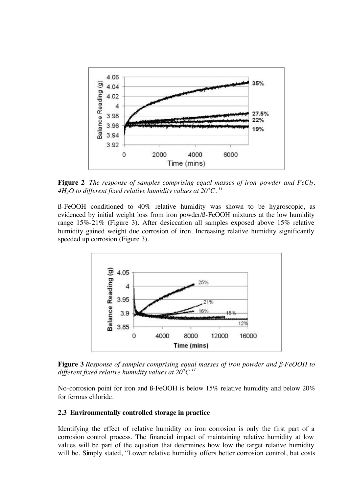

**Figure 2** *The response of samples comprising equal masses of iron powder and FeCl2.*  4H<sub>2</sub>O to different fixed relative humidity values at 20 $^oC.$   $^{\rm 11}$ 

ß-FeOOH conditioned to 40% relative humidity was shown to be hygroscopic, as evidenced by initial weight loss from iron powder/ß-FeOOH mixtures at the low humidity range 15%-21% (Figure 3). After desiccation all samples exposed above 15% relative humidity gained weight due corrosion of iron. Increasing relative humidity significantly speeded up corrosion (Figure 3).



**Figure 3** *Response of samples comprising equal masses of iron powder and ß-FeOOH to different fixed relative humidity values at 20<sup>o</sup> C.11*

No-corrosion point for iron and ß-FeOOH is below 15% relative humidity and below 20% for ferrous chloride.

#### **2.3 Environmentally controlled storage in practice**

Identifying the effect of relative humidity on iron corrosion is only the first part of a corrosion control process. The financial impact of maintaining relative humidity at low values will be part of the equation that determines how low the target relative humidity will be. Simply stated, "Lower relative humidity offers better corrosion control, but costs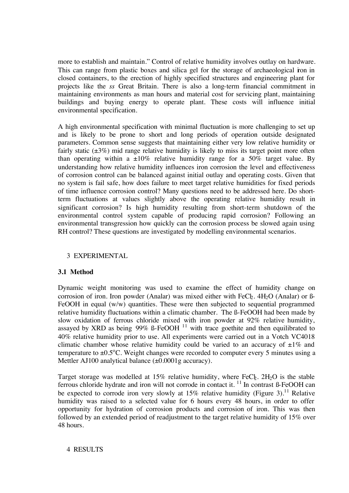more to establish and maintain." Control of relative humidity involves outlay on hardware. This can range from plastic boxes and silica gel for the storage of archaeological iron in closed containers, to the erection of highly specified structures and engineering plant for projects like the *ss* Great Britain. There is also a long-term financial commitment in maintaining environments as man hours and material cost for servicing plant, maintaining buildings and buying energy to operate plant. These costs will influence initial environmental specification.

A high environmental specification with minimal fluctuation is more challenging to set up and is likely to be prone to short and long periods of operation outside designated parameters. Common sense suggests that maintaining either very low relative humidity or fairly static  $(\pm 3\%)$  mid range relative humidity is likely to miss its target point more often than operating within a  $\pm 10\%$  relative humidity range for a 50% target value. By understanding how relative humidity influences iron corrosion the level and effectiveness of corrosion control can be balanced against initial outlay and operating costs. Given that no system is fail safe, how does failure to meet target relative humidities for fixed periods of time influence corrosion control? Many questions need to be addressed here. Do shortterm fluctuations at values slightly above the operating relative humidity result in significant corrosion? Is high humidity resulting from short-term shutdown of the environmental control system capable of producing rapid corrosion? Following an environmental transgression how quickly can the corrosion process be slowed again using RH control? These questions are investigated by modelling environmental scenarios.

## 3 EXPERIMENTAL

## **3.1 Method**

Dynamic weight monitoring was used to examine the effect of humidity change on corrosion of iron. Iron powder (Analar) was mixed either with  $FeC_2$ .  $4H_2O$  (Analar) or  $\beta$ -FeOOH in equal (w/w) quantities. These were then subjected to sequential programmed relative humidity fluctuations within a climatic chamber. The ß-FeOOH had been made by slow oxidation of ferrous chloride mixed with iron powder at 92% relative humidity, assayed by XRD as being  $99\%$  ß-FeOOH  $^{11}$  with trace goethite and then equilibrated to 40% relative humidity prior to use. All experiments were carried out in a Votch VC4018 climatic chamber whose relative humidity could be varied to an accuracy of  $\pm 1\%$  and temperature to  $\pm 0.5$ °C. Weight changes were recorded to computer every 5 minutes using a Mettler AJ100 analytical balance  $(\pm 0.0001g$  accuracy).

Target storage was modelled at 15% relative humidity, where  $FeC_{2}$ . 2H<sub>2</sub>O is the stable ferrous chloride hydrate and iron will not corrode in contact it. <sup>11</sup> In contrast ß-FeOOH can be expected to corrode iron very slowly at  $15\%$  relative humidity (Figure 3).<sup>11</sup> Relative humidity was raised to a selected value for 6 hours every 48 hours, in order to offer opportunity for hydration of corrosion products and corrosion of iron. This was then followed by an extended period of readjustment to the target relative humidity of 15% over 48 hours.

## 4 RESULTS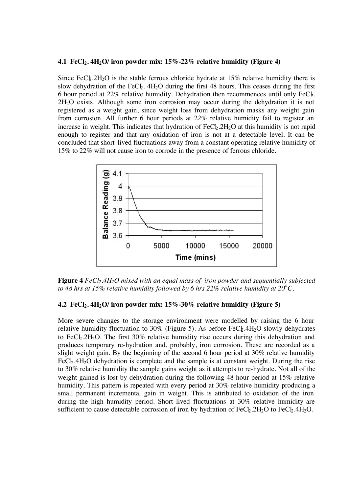#### **4.1 FeCl2. 4H2O/ iron powder mix: 15%-22% relative humidity (Figure 4)**

Since FeCb<sub>2</sub>.2H<sub>2</sub>O is the stable ferrous chloride hydrate at 15% relative humidity there is slow dehydration of the FeC $\ell_2$ . 4H<sub>2</sub>O during the first 48 hours. This ceases during the first 6 hour period at  $22\%$  relative humidity. Dehydration then recommences until only FeC $\ell$ . 2H2O exists. Although some iron corrosion may occur during the dehydration it is not registered as a weight gain, since weight loss from dehydration masks any weight gain from corrosion. All further 6 hour periods at 22% relative humidity fail to register an increase in weight. This indicates that hydration of  $FeCb.2H<sub>2</sub>O$  at this humidity is not rapid enough to register and that any oxidation of iron is not at a detectable level. It can be concluded that short-lived fluctuations away from a constant operating relative humidity of 15% to 22% will not cause iron to corrode in the presence of ferrous chloride.



**Figure 4** *FeCl<sub>2</sub>.4H<sub>2</sub>O* mixed with an equal mass of iron powder and sequentially subjected to 48 hrs at 15% relative humidity followed by 6 hrs 22% relative humidity at 20 $^oC$ .

#### **4.2 FeCl2. 4H2O/ iron powder mix: 15%-30% relative humidity (Figure 5)**

More severe changes to the storage environment were modelled by raising the 6 hour relative humidity fluctuation to 30% (Figure 5). As before  $FeC_{\rm k}$ .4H<sub>2</sub>O slowly dehydrates to FeCb.2H<sub>2</sub>O. The first  $30\%$  relative humidity rise occurs during this dehydration and produces temporary re-hydration and, probably, iron corrosion. These are recorded as a slight weight gain. By the beginning of the second 6 hour period at 30% relative humidity  $FeC<sub>2</sub>$ .4H<sub>2</sub>O dehydration is complete and the sample is at constant weight. During the rise to 30% relative humidity the sample gains weight as it attempts to re-hydrate. Not all of the weight gained is lost by dehydration during the following 48 hour period at 15% relative humidity. This pattern is repeated with every period at 30% relative humidity producing a small permanent incremental gain in weight. This is attributed to oxidation of the iron during the high humidity period. Short-lived fluctuations at 30% relative humidity are sufficient to cause detectable corrosion of iron by hydration of  $FeC_12H_2O$  to  $FeC_24H_2O$ .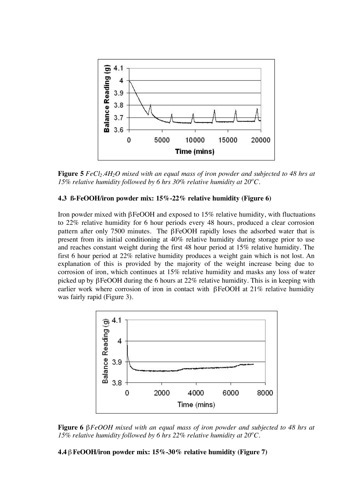

**Figure 5** *FeCl<sub>2</sub>.4H<sub>2</sub>O mixed with an equal mass of iron powder and subjected to 48 hrs at 15% relative humidity followed by 6 hrs 30% relative humidity at 20<sup>o</sup> C.*

### **4.3 ß-FeOOH/iron powder mix: 15%-22% relative humidity (Figure 6)**

Iron powder mixed with βFeOOH and exposed to 15% relative humidity, with fluctuations to 22% relative humidity for 6 hour periods every 48 hours, produced a clear corrosion pattern after only 7500 minutes. The βFeOOH rapidly loses the adsorbed water that is present from its initial conditioning at 40% relative humidity during storage prior to use and reaches constant weight during the first 48 hour period at 15% relative humidity. The first 6 hour period at 22% relative humidity produces a weight gain which is not lost. An explanation of this is provided by the majority of the weight increase being due to corrosion of iron, which continues at 15% relative humidity and masks any loss of water picked up by βFeOOH during the 6 hours at 22% relative humidity. This is in keeping with earlier work where corrosion of iron in contact with βFeOOH at 21% relative humidity was fairly rapid (Figure 3).





**4.4** β**FeOOH/iron powder mix: 15%-30% relative humidity (Figure 7)**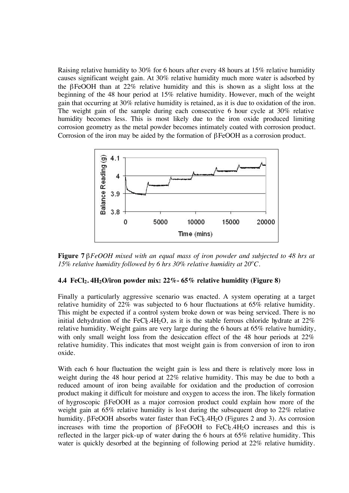Raising relative humidity to 30% for 6 hours after every 48 hours at 15% relative humidity causes significant weight gain. At 30% relative humidity much more water is adsorbed by the βFeOOH than at 22% relative humidity and this is shown as a slight loss at the beginning of the 48 hour period at 15% relative humidity. However, much of the weight gain that occurring at 30% relative humidity is retained, as it is due to oxidation of the iron. The weight gain of the sample during each consecutive 6 hour cycle at 30% relative humidity becomes less. This is most likely due to the iron oxide produced limiting corrosion geometry as the metal powder becomes intimately coated with corrosion product. Corrosion of the iron may be aided by the formation of βFeOOH as a corrosion product.



**Figure 7** β*FeOOH mixed with an equal mass of iron powder and subjected to 48 hrs at*  15% relative humidity followed by 6 hrs 30% relative humidity at  $20^{\circ}$ C.

## **4.4 FeCl2. 4H2O/iron powder mix: 22%- 65% relative humidity (Figure 8)**

Finally a particularly aggressive scenario was enacted. A system operating at a target relative humidity of 22% was subjected to 6 hour fluctuations at 65% relative humidity. This might be expected if a control system broke down or was being serviced. There is no initial dehydration of the FeCL<sub>2</sub>.4H<sub>2</sub>O, as it is the stable ferrous chloride hydrate at  $22\%$ relative humidity. Weight gains are very large during the 6 hours at 65% relative humidity, with only small weight loss from the desiccation effect of the 48 hour periods at 22% relative humidity. This indicates that most weight gain is from conversion of iron to iron oxide.

With each 6 hour fluctuation the weight gain is less and there is relatively more loss in weight during the 48 hour period at 22% relative humidity. This may be due to both a reduced amount of iron being available for oxidation and the production of corrosion product making it difficult for moisture and oxygen to access the iron. The likely formation of hygroscopic βFeOOH as a major corrosion product could explain how more of the weight gain at 65% relative humidity is lost during the subsequent drop to 22% relative humidity. βFeOOH absorbs water faster than FeC $\frac{1}{2}$ . (Figures 2 and 3). As corrosion increases with time the proportion of  $\beta$ FeOOH to FeCb.4H<sub>2</sub>O increases and this is reflected in the larger pick-up of water during the 6 hours at 65% relative humidity. This water is quickly desorbed at the beginning of following period at 22% relative humidity.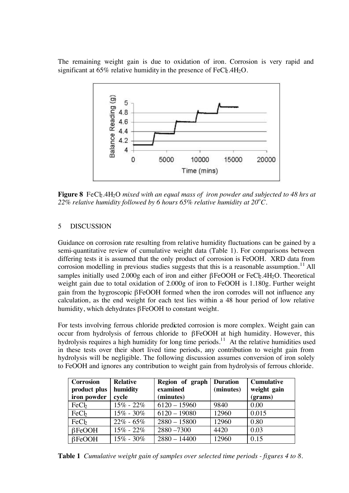The remaining weight gain is due to oxidation of iron. Corrosion is very rapid and significant at  $65\%$  relative humidity in the presence of FeCl<sub>2</sub>.4H<sub>2</sub>O.



**Figure 8** FeCb<sub>2</sub>.4H<sub>2</sub>O *mixed with an equal mass of iron powder and subjected to 48 hrs at* 22% relative humidity followed by 6 hours 65% relative humidity at 20 $^o$ C.

# 5 DISCUSSION

Guidance on corrosion rate resulting from relative humidity fluctuations can be gained by a semi-quantitative review of cumulative weight data (Table 1). For comparisons between differing tests it is assumed that the only product of corrosion is FeOOH. XRD data from corrosion modelling in previous studies suggests that this is a reasonable assumption.<sup>11</sup> All samples initially used  $2.000g$  each of iron and either  $\beta$ FeOOH or FeCb.4H<sub>2</sub>O. Theoretical weight gain due to total oxidation of 2.000g of iron to FeOOH is 1.180g. Further weight gain from the hygroscopic βFeOOH formed when the iron corrodes will not influence any calculation, as the end weight for each test lies within a 48 hour period of low relative humidity, which dehydrates βFeOOH to constant weight.

For tests involving ferrous chloride predicted corrosion is more complex. Weight gain can occur from hydrolysis of ferrous chloride to βFeOOH at high humidity. However, this hydrolysis requires a high humidity for long time periods.<sup>11</sup> At the relative humidities used in these tests over their short lived time periods, any contribution to weight gain from hydrolysis will be negligible. The following discussion assumes conversion of iron solely to FeOOH and ignores any contribution to weight gain from hydrolysis of ferrous chloride.

| <b>Corrosion</b><br>product plus<br>iron powder | <b>Relative</b><br>humidity<br>cycle | Region of graph<br>examined<br>(minutes) | <b>Duration</b><br>(minutes) | <b>Cumulative</b><br>weight gain<br>(grams) |
|-------------------------------------------------|--------------------------------------|------------------------------------------|------------------------------|---------------------------------------------|
| FeC <sub>b</sub>                                | $15\% - 22\%$                        | $6120 - 15960$                           | 9840                         | 0.00                                        |
| FeC <sub>b</sub>                                | $15\% - 30\%$                        | $6120 - 19080$                           | 12960                        | 0.015                                       |
| FeC <sub>b</sub>                                | $22\% - 65\%$                        | $2880 - 15800$                           | 12960                        | 0.80                                        |
| $\beta$ FeOOH                                   | $15\% - 22\%$                        | $2880 - 7300$                            | 4420                         | 0.03                                        |
| $\beta$ FeOOH                                   | $15\% - 30\%$                        | $2880 - 14400$                           | 12960                        | 0.15                                        |

**Table 1** *Cumulative weight gain of samples over selected time periods - figures 4 to 8.*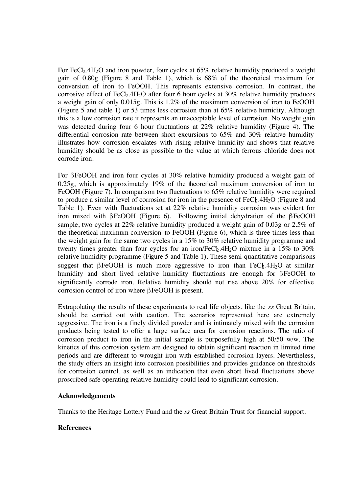For FeCb.4H<sub>2</sub>O and iron powder, four cycles at  $65\%$  relative humidity produced a weight gain of 0.80g (Figure 8 and Table 1), which is 68% of the theoretical maximum for conversion of iron to FeOOH. This represents extensive corrosion. In contrast, the corrosive effect of FeC $\frac{1}{2}$ .4H<sub>2</sub>O after four 6 hour cycles at 30% relative humidity produces a weight gain of only 0.015g. This is 1.2% of the maximum conversion of iron to FeOOH (Figure 5 and table 1) or 53 times less corrosion than at 65% relative humidity. Although this is a low corrosion rate it represents an unacceptable level of corrosion. No weight gain was detected during four 6 hour fluctuations at 22% relative humidity (Figure 4). The differential corrosion rate between short excursions to 65% and 30% relative humidity illustrates how corrosion escalates with rising relative humidity and shows that relative humidity should be as close as possible to the value at which ferrous chloride does not corrode iron.

For βFeOOH and iron four cycles at 30% relative humidity produced a weight gain of 0.25g, which is approximately 19% of the theoretical maximum conversion of iron to FeOOH (Figure 7). In comparison two fluctuations to 65% relative humidity were required to produce a similar level of corrosion for iron in the presence of  $FeC_{12}$ .  $4H_{2}O$  (Figure 8 and Table 1). Even with fluctuations set at 22% relative humidity corrosion was evident for iron mixed with βFeOOH (Figure 6). Following initial dehydration of the βFeOOH sample, two cycles at 22% relative humidity produced a weight gain of 0.03g or 2.5% of the theoretical maximum conversion to FeOOH (Figure 6), which is three times less than the weight gain for the same two cycles in a 15% to 30% relative humidity programme and twenty times greater than four cycles for an iron/FeC $b$ .4H<sub>2</sub>O mixture in a 15% to 30% relative humidity programme (Figure 5 and Table 1). These semi-quantitative comparisons suggest that βFeOOH is much more aggressive to iron than  $FeC_{2}A_{2}O$  at similar humidity and short lived relative humidity fluctuations are enough for βFeOOH to significantly corrode iron. Relative humidity should not rise above 20% for effective corrosion control of iron where βFeOOH is present.

Extrapolating the results of these experiments to real life objects, like the *ss* Great Britain, should be carried out with caution. The scenarios represented here are extremely aggressive. The iron is a finely divided powder and is intimately mixed with the corrosion products being tested to offer a large surface area for corrosion reactions. The ratio of corrosion product to iron in the initial sample is purposefully high at 50/50 w/w. The kinetics of this corrosion system are designed to obtain significant reaction in limited time periods and are different to wrought iron with established corrosion layers. Nevertheless, the study offers an insight into corrosion possibilities and provides guidance on thresholds for corrosion control, as well as an indication that even short lived fluctuations above proscribed safe operating relative humidity could lead to significant corrosion.

#### **Acknowledgements**

Thanks to the Heritage Lottery Fund and the *ss* Great Britain Trust for financial support.

#### **References**